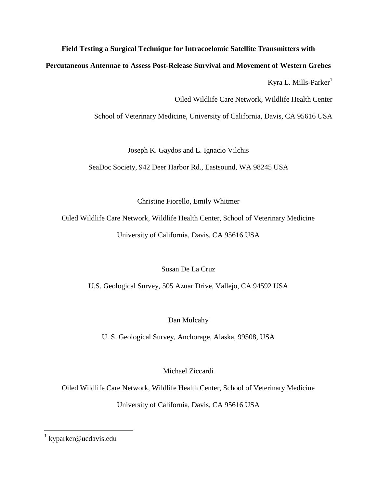**Field Testing a Surgical Technique for Intracoelomic Satellite Transmitters with** 

**Percutaneous Antennae to Assess Post-Release Survival and Movement of Western Grebes** 

Kyra L. Mills-Parker $<sup>1</sup>$ </sup>

Oiled Wildlife Care Network, Wildlife Health Center

School of Veterinary Medicine, University of California, Davis, CA 95616 USA

Joseph K. Gaydos and L. Ignacio Vilchis

SeaDoc Society, 942 Deer Harbor Rd., Eastsound, WA 98245 USA

Christine Fiorello, Emily Whitmer

Oiled Wildlife Care Network, Wildlife Health Center, School of Veterinary Medicine University of California, Davis, CA 95616 USA

Susan De La Cruz

U.S. Geological Survey, 505 Azuar Drive, Vallejo, CA 94592 USA

Dan Mulcahy

U. S. Geological Survey, Anchorage, Alaska, 99508, USA

Michael Ziccardi

Oiled Wildlife Care Network, Wildlife Health Center, School of Veterinary Medicine

University of California, Davis, CA 95616 USA

 1 kyparker@ucdavis.edu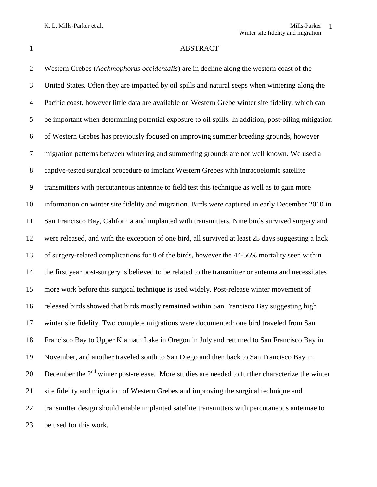# 1 ABSTRACT

 Western Grebes (*Aechmophorus occidentalis*) are in decline along the western coast of the United States. Often they are impacted by oil spills and natural seeps when wintering along the Pacific coast, however little data are available on Western Grebe winter site fidelity, which can be important when determining potential exposure to oil spills. In addition, post-oiling mitigation of Western Grebes has previously focused on improving summer breeding grounds, however migration patterns between wintering and summering grounds are not well known. We used a captive-tested surgical procedure to implant Western Grebes with intracoelomic satellite transmitters with percutaneous antennae to field test this technique as well as to gain more information on winter site fidelity and migration. Birds were captured in early December 2010 in San Francisco Bay, California and implanted with transmitters. Nine birds survived surgery and were released, and with the exception of one bird, all survived at least 25 days suggesting a lack of surgery-related complications for 8 of the birds, however the 44-56% mortality seen within the first year post-surgery is believed to be related to the transmitter or antenna and necessitates more work before this surgical technique is used widely. Post-release winter movement of released birds showed that birds mostly remained within San Francisco Bay suggesting high winter site fidelity. Two complete migrations were documented: one bird traveled from San Francisco Bay to Upper Klamath Lake in Oregon in July and returned to San Francisco Bay in November, and another traveled south to San Diego and then back to San Francisco Bay in 20 December the  $2<sup>nd</sup>$  winter post-release. More studies are needed to further characterize the winter site fidelity and migration of Western Grebes and improving the surgical technique and transmitter design should enable implanted satellite transmitters with percutaneous antennae to be used for this work.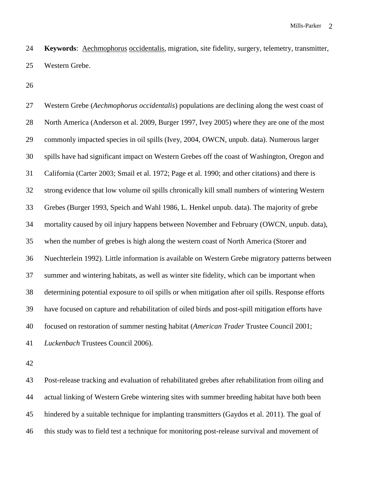**Keywords**: Aechmophorus occidentalis, migration, site fidelity, surgery, telemetry, transmitter, Western Grebe.

 Western Grebe (*Aechmophorus occidentalis*) populations are declining along the west coast of North America (Anderson et al. 2009, Burger 1997, Ivey 2005) where they are one of the most commonly impacted species in oil spills (Ivey, 2004, OWCN, unpub. data). Numerous larger spills have had significant impact on Western Grebes off the coast of Washington, Oregon and California (Carter 2003; Smail et al. 1972; Page et al. 1990; and other citations) and there is strong evidence that low volume oil spills chronically kill small numbers of wintering Western Grebes (Burger 1993, Speich and Wahl 1986, L. Henkel unpub. data). The majority of grebe mortality caused by oil injury happens between November and February (OWCN, unpub. data), when the number of grebes is high along the western coast of North America (Storer and Nuechterlein 1992). Little information is available on Western Grebe migratory patterns between summer and wintering habitats, as well as winter site fidelity, which can be important when determining potential exposure to oil spills or when mitigation after oil spills. Response efforts have focused on capture and rehabilitation of oiled birds and post-spill mitigation efforts have focused on restoration of summer nesting habitat (*American Trader* Trustee Council 2001; *Luckenbach* Trustees Council 2006).

 Post-release tracking and evaluation of rehabilitated grebes after rehabilitation from oiling and actual linking of Western Grebe wintering sites with summer breeding habitat have both been hindered by a suitable technique for implanting transmitters (Gaydos et al. 2011). The goal of this study was to field test a technique for monitoring post-release survival and movement of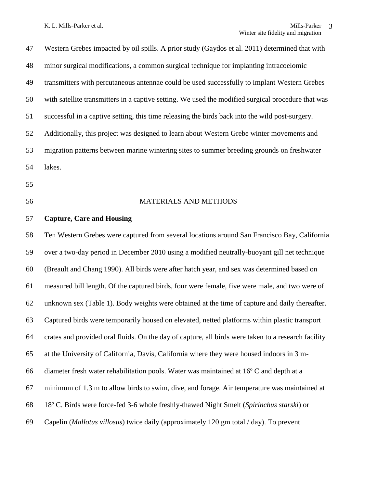Western Grebes impacted by oil spills. A prior study (Gaydos et al. 2011) determined that with minor surgical modifications, a common surgical technique for implanting intracoelomic transmitters with percutaneous antennae could be used successfully to implant Western Grebes with satellite transmitters in a captive setting. We used the modified surgical procedure that was successful in a captive setting, this time releasing the birds back into the wild post-surgery. Additionally, this project was designed to learn about Western Grebe winter movements and migration patterns between marine wintering sites to summer breeding grounds on freshwater lakes. MATERIALS AND METHODS **Capture, Care and Housing**  Ten Western Grebes were captured from several locations around San Francisco Bay, California over a two-day period in December 2010 using a modified neutrally-buoyant gill net technique (Breault and Chang 1990). All birds were after hatch year, and sex was determined based on measured bill length. Of the captured birds, four were female, five were male, and two were of unknown sex (Table 1). Body weights were obtained at the time of capture and daily thereafter. Captured birds were temporarily housed on elevated, netted platforms within plastic transport crates and provided oral fluids. On the day of capture, all birds were taken to a research facility at the University of California, Davis, California where they were housed indoors in 3 m- diameter fresh water rehabilitation pools. Water was maintained at 16º C and depth at a minimum of 1.3 m to allow birds to swim, dive, and forage. Air temperature was maintained at 18º C. Birds were force-fed 3-6 whole freshly-thawed Night Smelt (*Spirinchus starski*) or Capelin (*Mallotus villosus*) twice daily (approximately 120 gm total / day). To prevent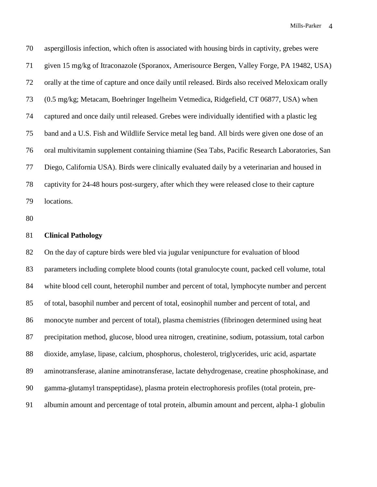aspergillosis infection, which often is associated with housing birds in captivity, grebes were given 15 mg/kg of Itraconazole (Sporanox, Amerisource Bergen, Valley Forge, PA 19482, USA) orally at the time of capture and once daily until released. Birds also received Meloxicam orally (0.5 mg/kg; Metacam, Boehringer Ingelheim Vetmedica, Ridgefield, CT 06877, USA) when captured and once daily until released. Grebes were individually identified with a plastic leg band and a U.S. Fish and Wildlife Service metal leg band. All birds were given one dose of an oral multivitamin supplement containing thiamine (Sea Tabs, Pacific Research Laboratories, San Diego, California USA). Birds were clinically evaluated daily by a veterinarian and housed in captivity for 24-48 hours post-surgery, after which they were released close to their capture locations.

## **Clinical Pathology**

 On the day of capture birds were bled via jugular venipuncture for evaluation of blood parameters including complete blood counts (total granulocyte count, packed cell volume, total white blood cell count, heterophil number and percent of total, lymphocyte number and percent of total, basophil number and percent of total, eosinophil number and percent of total, and monocyte number and percent of total), plasma chemistries (fibrinogen determined using heat precipitation method, glucose, blood urea nitrogen, creatinine, sodium, potassium, total carbon dioxide, amylase, lipase, calcium, phosphorus, cholesterol, triglycerides, uric acid, aspartate aminotransferase, alanine aminotransferase, lactate dehydrogenase, creatine phosphokinase, and gamma-glutamyl transpeptidase), plasma protein electrophoresis profiles (total protein, pre-albumin amount and percentage of total protein, albumin amount and percent, alpha-1 globulin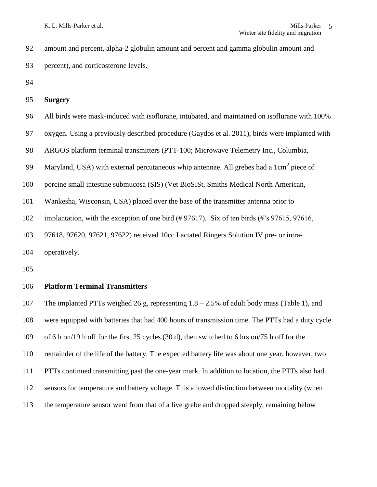amount and percent, alpha-2 globulin amount and percent and gamma globulin amount and percent), and corticosterone levels.

# **Surgery**

- All birds were mask-induced with isoflurane, intubated, and maintained on isoflurane with 100%
- oxygen. Using a previously described procedure (Gaydos et al. 2011), birds were implanted with
- ARGOS platform terminal transmitters (PTT-100; Microwave Telemetry Inc., Columbia,
- 99 Maryland, USA) with external percutaneous whip antennae. All grebes had a  $1 \text{cm}^2$  piece of
- porcine small intestine submucosa (SIS) (Vet BioSISt, Smiths Medical North American,
- Wankesha, Wisconsin, USA) placed over the base of the transmitter antenna prior to
- implantation, with the exception of one bird (# 97617). Six of ten birds (#'s 97615, 97616,
- 97618, 97620, 97621, 97622) received 10cc Lactated Ringers Solution IV pre- or intra-

operatively.

# **Platform Terminal Transmitters**

 The implanted PTTs weighed 26 g, representing 1.8 – 2.5% of adult body mass (Table 1), and were equipped with batteries that had 400 hours of transmission time. The PTTs had a duty cycle of 6 h on/19 h off for the first 25 cycles (30 d), then switched to 6 hrs on/75 h off for the remainder of the life of the battery. The expected battery life was about one year, however, two PTTs continued transmitting past the one-year mark. In addition to location, the PTTs also had sensors for temperature and battery voltage. This allowed distinction between mortality (when the temperature sensor went from that of a live grebe and dropped steeply, remaining below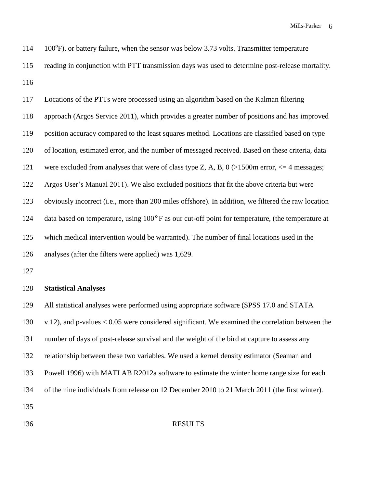| 114 | $100^{\circ}$ F), or battery failure, when the sensor was below 3.73 volts. Transmitter temperature |
|-----|-----------------------------------------------------------------------------------------------------|
| 115 | reading in conjunction with PTT transmission days was used to determine post-release mortality.     |
| 116 |                                                                                                     |
| 117 | Locations of the PTTs were processed using an algorithm based on the Kalman filtering               |
| 118 | approach (Argos Service 2011), which provides a greater number of positions and has improved        |
| 119 | position accuracy compared to the least squares method. Locations are classified based on type      |
| 120 | of location, estimated error, and the number of messaged received. Based on these criteria, data    |
| 121 | were excluded from analyses that were of class type Z, A, B, $0$ (>1500m error, $\leq$ 4 messages;  |
| 122 | Argos User's Manual 2011). We also excluded positions that fit the above criteria but were          |
| 123 | obviously incorrect (i.e., more than 200 miles offshore). In addition, we filtered the raw location |

data based on temperature, using 100**°**F as our cut-off point for temperature, (the temperature at

which medical intervention would be warranted). The number of final locations used in the

analyses (after the filters were applied) was 1,629.

## **Statistical Analyses**

 All statistical analyses were performed using appropriate software (SPSS 17.0 and STATA v.12), and p-values < 0.05 were considered significant. We examined the correlation between the number of days of post-release survival and the weight of the bird at capture to assess any relationship between these two variables. We used a kernel density estimator (Seaman and Powell 1996) with MATLAB R2012a software to estimate the winter home range size for each of the nine individuals from release on 12 December 2010 to 21 March 2011 (the first winter). 

### RESULTS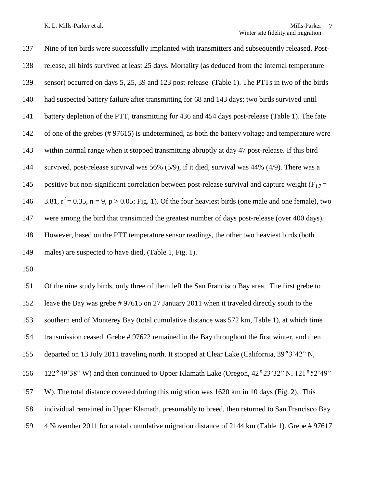Nine of ten birds were successfully implanted with transmitters and subsequently released. Post- release, all birds survived at least 25 days. Mortality (as deduced from the internal temperature sensor) occurred on days 5, 25, 39 and 123 post-release (Table 1). The PTTs in two of the birds had suspected battery failure after transmitting for 68 and 143 days; two birds survived until battery depletion of the PTT, transmitting for 436 and 454 days post-release (Table 1). The fate 142 of one of the grebes (# 97615) is undetermined, as both the battery voltage and temperature were within normal range when it stopped transmitting abruptly at day 47 post-release. If this bird survived, post-release survival was 56% (5/9), if it died, survival was 44% (4/9). There was a 145 positive but non-significant correlation between post-release survival and capture weight  $(F_{1,7} =$  $3.81$ ,  $r^2 = 0.35$ , n = 9, p > 0.05; Fig. 1). Of the four heaviest birds (one male and one female), two were among the bird that transimtted the greatest number of days post-release (over 400 days). However, based on the PTT temperature sensor readings, the other two heaviest birds (both males) are suspected to have died, (Table 1, Fig. 1).

 Of the nine study birds, only three of them left the San Francisco Bay area. The first grebe to leave the Bay was grebe # 97615 on 27 January 2011 when it traveled directly south to the southern end of Monterey Bay (total cumulative distance was 572 km, Table 1), at which time transmission ceased. Grebe # 97622 remained in the Bay throughout the first winter, and then departed on 13 July 2011 traveling north. It stopped at Clear Lake (California, 39**°**3'42" N, 122**°**49'38" W) and then continued to Upper Klamath Lake (Oregon, 42**°**23'32" N, 121**°**52'49" W). The total distance covered during this migration was 1620 km in 10 days (Fig. 2). This individual remained in Upper Klamath, presumably to breed, then returned to San Francisco Bay 4 November 2011 for a total cumulative migration distance of 2144 km (Table 1). Grebe # 97617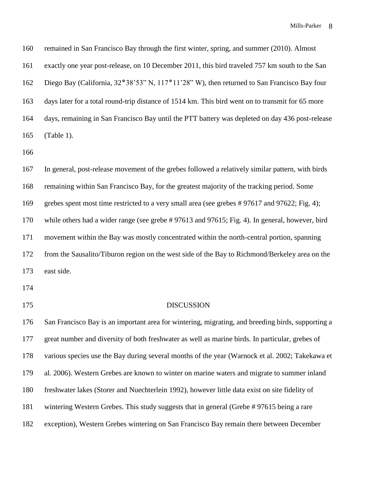| 160 | remained in San Francisco Bay through the first winter, spring, and summer (2010). Almost         |
|-----|---------------------------------------------------------------------------------------------------|
| 161 | exactly one year post-release, on 10 December 2011, this bird traveled 757 km south to the San    |
| 162 | Diego Bay (California, 32°38'53" N, 117°11'28" W), then returned to San Francisco Bay four        |
| 163 | days later for a total round-trip distance of 1514 km. This bird went on to transmit for 65 more  |
| 164 | days, remaining in San Francisco Bay until the PTT battery was depleted on day 436 post-release   |
| 165 | (Table 1).                                                                                        |
| 166 |                                                                                                   |
| 167 | In general, post-release movement of the grebes followed a relatively similar pattern, with birds |
| 168 | remaining within San Francisco Bay, for the greatest majority of the tracking period. Some        |
| 169 | grebes spent most time restricted to a very small area (see grebes #97617 and 97622; Fig. 4);     |
| 170 | while others had a wider range (see grebe #97613 and 97615; Fig. 4). In general, however, bird    |
| 171 | movement within the Bay was mostly concentrated within the north-central portion, spanning        |
| 172 | from the Sausalito/Tiburon region on the west side of the Bay to Richmond/Berkeley area on the    |
| 173 | east side.                                                                                        |
| 174 |                                                                                                   |
| 175 | <b>DISCUSSION</b>                                                                                 |
| 176 | San Francisco Bay is an important area for wintering, migrating, and breeding birds, supporting a |

 great number and diversity of both freshwater as well as marine birds. In particular, grebes of various species use the Bay during several months of the year (Warnock et al. 2002; Takekawa et al. 2006). Western Grebes are known to winter on marine waters and migrate to summer inland freshwater lakes (Storer and Nuechterlein 1992), however little data exist on site fidelity of wintering Western Grebes. This study suggests that in general (Grebe # 97615 being a rare exception), Western Grebes wintering on San Francisco Bay remain there between December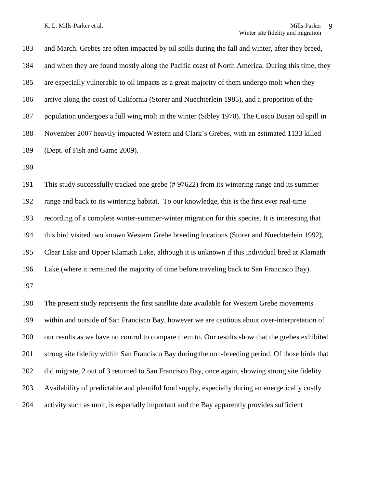and March. Grebes are often impacted by oil spills during the fall and winter, after they breed, and when they are found mostly along the Pacific coast of North America. During this time, they are especially vulnerable to oil impacts as a great majority of them undergo molt when they arrive along the coast of California (Storer and Nuechterlein 1985), and a proportion of the population undergoes a full wing molt in the winter (Sibley 1970). The Cosco Busan oil spill in November 2007 heavily impacted Western and Clark's Grebes, with an estimated 1133 killed (Dept. of Fish and Game 2009).

 This study successfully tracked one grebe (# 97622) from its wintering range and its summer range and back to its wintering habitat. To our knowledge, this is the first ever real-time recording of a complete winter-summer-winter migration for this species. It is interesting that this bird visited two known Western Grebe breeding locations (Storer and Nuechterlein 1992), Clear Lake and Upper Klamath Lake, although it is unknown if this individual bred at Klamath Lake (where it remained the majority of time before traveling back to San Francisco Bay).

 The present study represents the first satellite date available for Western Grebe movements within and outside of San Francisco Bay, however we are cautious about over-interpretation of our results as we have no control to compare them to. Our results show that the grebes exhibited strong site fidelity within San Francisco Bay during the non-breeding period. Of those birds that did migrate, 2 out of 3 returned to San Francisco Bay, once again, showing strong site fidelity. Availability of predictable and plentiful food supply, especially during an energetically costly activity such as molt, is especially important and the Bay apparently provides sufficient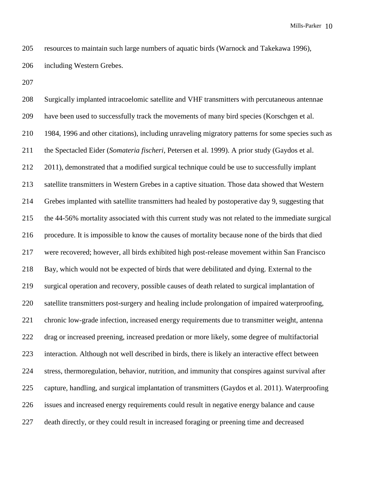resources to maintain such large numbers of aquatic birds (Warnock and Takekawa 1996), including Western Grebes.

 Surgically implanted intracoelomic satellite and VHF transmitters with percutaneous antennae have been used to successfully track the movements of many bird species (Korschgen et al. 1984, 1996 and other citations), including unraveling migratory patterns for some species such as the Spectacled Eider (*Somateria fischeri*, Petersen et al. 1999). A prior study (Gaydos et al. 212 2011), demonstrated that a modified surgical technique could be use to successfully implant satellite transmitters in Western Grebes in a captive situation. Those data showed that Western Grebes implanted with satellite transmitters had healed by postoperative day 9, suggesting that the 44-56% mortality associated with this current study was not related to the immediate surgical procedure. It is impossible to know the causes of mortality because none of the birds that died were recovered; however, all birds exhibited high post-release movement within San Francisco Bay, which would not be expected of birds that were debilitated and dying. External to the surgical operation and recovery, possible causes of death related to surgical implantation of satellite transmitters post-surgery and healing include prolongation of impaired waterproofing, chronic low-grade infection, increased energy requirements due to transmitter weight, antenna drag or increased preening, increased predation or more likely, some degree of multifactorial interaction. Although not well described in birds, there is likely an interactive effect between stress, thermoregulation, behavior, nutrition, and immunity that conspires against survival after capture, handling, and surgical implantation of transmitters (Gaydos et al. 2011). Waterproofing issues and increased energy requirements could result in negative energy balance and cause death directly, or they could result in increased foraging or preening time and decreased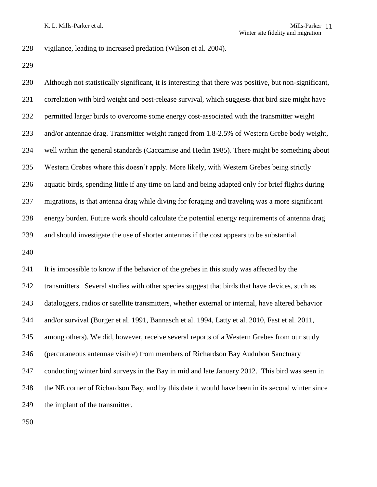vigilance, leading to increased predation (Wilson et al. 2004).

 Although not statistically significant, it is interesting that there was positive, but non-significant, correlation with bird weight and post-release survival, which suggests that bird size might have permitted larger birds to overcome some energy cost-associated with the transmitter weight and/or antennae drag. Transmitter weight ranged from 1.8-2.5% of Western Grebe body weight, well within the general standards (Caccamise and Hedin 1985). There might be something about Western Grebes where this doesn't apply. More likely, with Western Grebes being strictly aquatic birds, spending little if any time on land and being adapted only for brief flights during migrations, is that antenna drag while diving for foraging and traveling was a more significant energy burden. Future work should calculate the potential energy requirements of antenna drag and should investigate the use of shorter antennas if the cost appears to be substantial. 

 It is impossible to know if the behavior of the grebes in this study was affected by the transmitters. Several studies with other species suggest that birds that have devices, such as dataloggers, radios or satellite transmitters, whether external or internal, have altered behavior and/or survival (Burger et al. 1991, Bannasch et al. 1994, Latty et al. 2010, Fast et al. 2011, among others). We did, however, receive several reports of a Western Grebes from our study (percutaneous antennae visible) from members of Richardson Bay Audubon Sanctuary conducting winter bird surveys in the Bay in mid and late January 2012. This bird was seen in the NE corner of Richardson Bay, and by this date it would have been in its second winter since 249 the implant of the transmitter.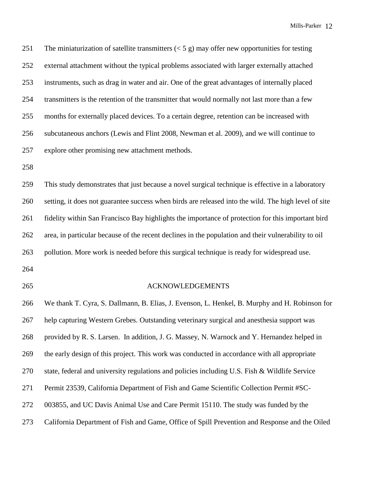251 The miniaturization of satellite transmitters  $(< 5 \text{ g})$  may offer new opportunities for testing external attachment without the typical problems associated with larger externally attached instruments, such as drag in water and air. One of the great advantages of internally placed transmitters is the retention of the transmitter that would normally not last more than a few months for externally placed devices. To a certain degree, retention can be increased with subcutaneous anchors (Lewis and Flint 2008, Newman et al. 2009), and we will continue to explore other promising new attachment methods.

 This study demonstrates that just because a novel surgical technique is effective in a laboratory setting, it does not guarantee success when birds are released into the wild. The high level of site fidelity within San Francisco Bay highlights the importance of protection for this important bird area, in particular because of the recent declines in the population and their vulnerability to oil pollution. More work is needed before this surgical technique is ready for widespread use.

- 
- 

### ACKNOWLEDGEMENTS

 We thank T. Cyra, S. Dallmann, B. Elias, J. Evenson, L. Henkel, B. Murphy and H. Robinson for help capturing Western Grebes. Outstanding veterinary surgical and anesthesia support was provided by R. S. Larsen. In addition, J. G. Massey, N. Warnock and Y. Hernandez helped in the early design of this project. This work was conducted in accordance with all appropriate state, federal and university regulations and policies including U.S. Fish & Wildlife Service Permit 23539, California Department of Fish and Game Scientific Collection Permit #SC- 003855, and UC Davis Animal Use and Care Permit 15110. The study was funded by the California Department of Fish and Game, Office of Spill Prevention and Response and the Oiled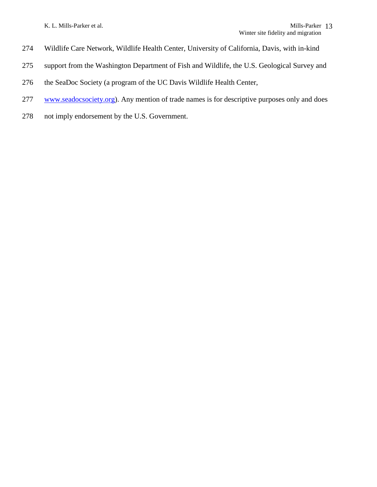K. L. Mills-Parker et al.

- Wildlife Care Network, Wildlife Health Center, University of California, Davis, with in-kind
- support from the Washington Department of Fish and Wildlife, the U.S. Geological Survey and
- the SeaDoc Society (a program of the UC Davis Wildlife Health Center,
- [www.seadocsociety.org\)](http://www.seadocsociety.org/). Any mention of trade names is for descriptive purposes only and does
- not imply endorsement by the U.S. Government.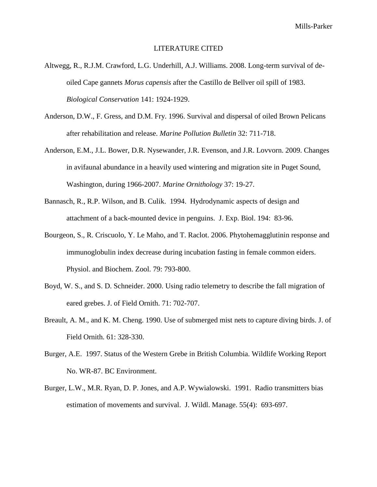### LITERATURE CITED

- Altwegg, R., R.J.M. Crawford, L.G. Underhill, A.J. Williams. 2008. Long-term survival of deoiled Cape gannets *Morus capensis* after the Castillo de Bellver oil spill of 1983. *Biological Conservation* 141: 1924-1929.
- Anderson, D.W., F. Gress, and D.M. Fry. 1996. Survival and dispersal of oiled Brown Pelicans after rehabilitation and release. *Marine Pollution Bulletin* 32: 711-718.
- Anderson, E.M., J.L. Bower, D.R. Nysewander, J.R. Evenson, and J.R. Lovvorn. 2009. Changes in avifaunal abundance in a heavily used wintering and migration site in Puget Sound, Washington, during 1966-2007. *Marine Ornithology* 37: 19-27.
- Bannasch, R., R.P. Wilson, and B. Culik. 1994. Hydrodynamic aspects of design and attachment of a back-mounted device in penguins. J. Exp. Biol. 194: 83-96.
- Bourgeon, S., R. Criscuolo, Y. Le Maho, and T. Raclot. 2006. Phytohemagglutinin response and immunoglobulin index decrease during incubation fasting in female common eiders. Physiol. and Biochem. Zool. 79: 793-800.
- Boyd, W. S., and S. D. Schneider. 2000. Using radio telemetry to describe the fall migration of eared grebes. J. of Field Ornith. 71: 702-707.
- Breault, A. M., and K. M. Cheng. 1990. Use of submerged mist nets to capture diving birds. J. of Field Ornith. 61: 328-330.
- Burger, A.E. 1997. Status of the Western Grebe in British Columbia. Wildlife Working Report No. WR-87. BC Environment.
- Burger, L.W., M.R. Ryan, D. P. Jones, and A.P. Wywialowski. 1991. Radio transmitters bias estimation of movements and survival. J. Wildl. Manage. 55(4): 693-697.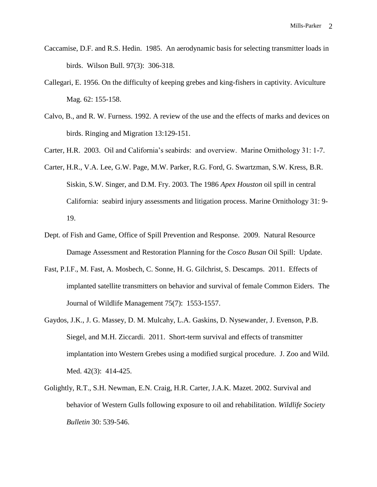- Caccamise, D.F. and R.S. Hedin. 1985. An aerodynamic basis for selecting transmitter loads in birds. Wilson Bull. 97(3): 306-318.
- Callegari, E. 1956. On the difficulty of keeping grebes and king-fishers in captivity. Aviculture Mag. 62: 155-158.
- Calvo, B., and R. W. Furness. 1992. A review of the use and the effects of marks and devices on birds. Ringing and Migration 13:129-151.
- Carter, H.R. 2003. Oil and California's seabirds: and overview. Marine Ornithology 31: 1-7.
- Carter, H.R., V.A. Lee, G.W. Page, M.W. Parker, R.G. Ford, G. Swartzman, S.W. Kress, B.R. Siskin, S.W. Singer, and D.M. Fry. 2003. The 1986 *Apex Houston* oil spill in central California: seabird injury assessments and litigation process. Marine Ornithology 31: 9- 19.
- Dept. of Fish and Game, Office of Spill Prevention and Response. 2009. Natural Resource Damage Assessment and Restoration Planning for the *Cosco Busan* Oil Spill: Update.
- Fast, P.I.F., M. Fast, A. Mosbech, C. Sonne, H. G. Gilchrist, S. Descamps. 2011. Effects of implanted satellite transmitters on behavior and survival of female Common Eiders. The Journal of Wildlife Management 75(7): 1553-1557.
- Gaydos, J.K., J. G. Massey, D. M. Mulcahy, L.A. Gaskins, D. Nysewander, J. Evenson, P.B. Siegel, and M.H. Ziccardi. 2011. Short-term survival and effects of transmitter implantation into Western Grebes using a modified surgical procedure. J. Zoo and Wild. Med. 42(3): 414-425.
- Golightly, R.T., S.H. Newman, E.N. Craig, H.R. Carter, J.A.K. Mazet. 2002. Survival and behavior of Western Gulls following exposure to oil and rehabilitation. *Wildlife Society Bulletin* 30: 539-546.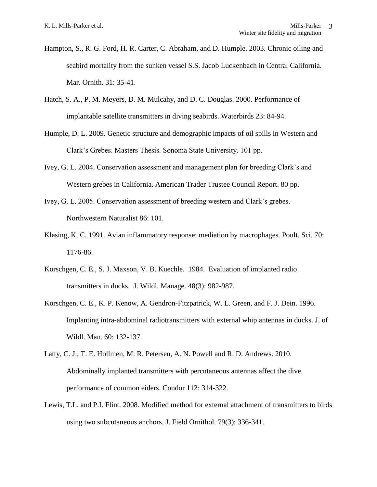- Hampton, S., R. G. Ford, H. R. Carter, C. Abraham, and D. Humple. 2003. Chronic oiling and seabird mortality from the sunken vessel S.S. Jacob Luckenbach in Central California. Mar. Ornith. 31: 35-41.
- Hatch, S. A., P. M. Meyers, D. M. Mulcahy, and D. C. Douglas. 2000. Performance of implantable satellite transmitters in diving seabirds. Waterbirds 23: 84-94.
- Humple, D. L. 2009. Genetic structure and demographic impacts of oil spills in Western and Clark's Grebes. Masters Thesis. Sonoma State University. 101 pp.
- Ivey, G. L. 2004. Conservation assessment and management plan for breeding Clark's and Western grebes in California. American Trader Trustee Council Report. 80 pp.
- Ivey, G. L. 2005. Conservation assessment of breeding western and Clark's grebes. Northwestern Naturalist 86: 101.
- Klasing, K. C. 1991. Avian inflammatory response: mediation by macrophages. Poult. Sci. 70: 1176-86.
- Korschgen, C. E., S. J. Maxson, V. B. Kuechle. 1984. Evaluation of implanted radio transmitters in ducks. J. Wildl. Manage. 48(3): 982-987.
- Korschgen, C. E., K. P. Kenow, A. Gendron-Fitzpatrick, W. L. Green, and F. J. Dein. 1996. Implanting intra-abdominal radiotransmitters with external whip antennas in ducks. J. of Wildl. Man. 60: 132-137.
- Latty, C. J., T. E. Hollmen, M. R. Petersen, A. N. Powell and R. D. Andrews. 2010. Abdominally implanted transmitters with percutaneous antennas affect the dive performance of common eiders. Condor 112: 314-322.
- Lewis, T.L. and P.I. Flint. 2008. Modified method for external attachment of transmitters to birds using two subcutaneous anchors. J. Field Ornithol. 79(3): 336-341.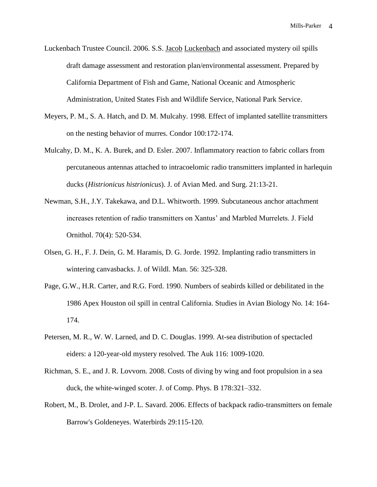- Luckenbach Trustee Council. 2006. S.S. Jacob Luckenbach and associated mystery oil spills draft damage assessment and restoration plan/environmental assessment. Prepared by California Department of Fish and Game, National Oceanic and Atmospheric Administration, United States Fish and Wildlife Service, National Park Service.
- Meyers, P. M., S. A. Hatch, and D. M. Mulcahy. 1998. Effect of implanted satellite transmitters on the nesting behavior of murres. Condor 100:172-174.
- Mulcahy, D. M., K. A. Burek, and D. Esler. 2007. Inflammatory reaction to fabric collars from percutaneous antennas attached to intracoelomic radio transmitters implanted in harlequin ducks (*Histrionicus histrionicus*). J. of Avian Med. and Surg. 21:13-21.
- Newman, S.H., J.Y. Takekawa, and D.L. Whitworth. 1999. Subcutaneous anchor attachment increases retention of radio transmitters on Xantus' and Marbled Murrelets. J. Field Ornithol. 70(4): 520-534.
- Olsen, G. H., F. J. Dein, G. M. Haramis, D. G. Jorde. 1992. Implanting radio transmitters in wintering canvasbacks. J. of Wildl. Man. 56: 325-328.
- Page, G.W., H.R. Carter, and R.G. Ford. 1990. Numbers of seabirds killed or debilitated in the 1986 Apex Houston oil spill in central California. Studies in Avian Biology No. 14: 164- 174.
- Petersen, M. R., W. W. Larned, and D. C. Douglas. 1999. At-sea distribution of spectacled eiders: a 120-year-old mystery resolved. The Auk 116: 1009-1020.
- Richman, S. E., and J. R. Lovvorn. 2008. Costs of diving by wing and foot propulsion in a sea duck, the white-winged scoter. J. of Comp. Phys. B 178:321–332.
- Robert, M., B. Drolet, and J-P. L. Savard. 2006. Effects of backpack radio-transmitters on female Barrow's Goldeneyes. Waterbirds 29:115-120.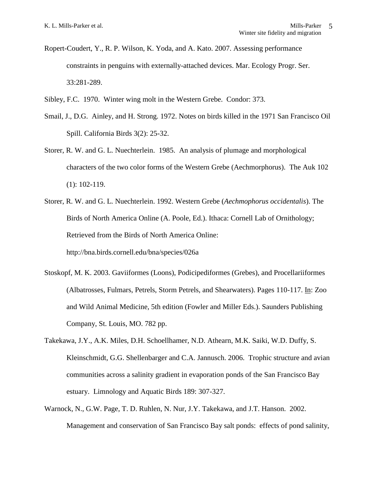- Ropert-Coudert, Y., R. P. Wilson, K. Yoda, and A. Kato. 2007. Assessing performance constraints in penguins with externally-attached devices. Mar. Ecology Progr. Ser. 33:281-289.
- Sibley, F.C. 1970. Winter wing molt in the Western Grebe. Condor: 373.
- Smail, J., D.G. Ainley, and H. Strong. 1972. Notes on birds killed in the 1971 San Francisco Oil Spill. California Birds 3(2): 25-32.
- Storer, R. W. and G. L. Nuechterlein. 1985. An analysis of plumage and morphological characters of the two color forms of the Western Grebe (Aechmorphorus). The Auk 102 (1): 102-119.
- Storer, R. W. and G. L. Nuechterlein. 1992. Western Grebe (*Aechmophorus occidentalis*). The Birds of North America Online (A. Poole, Ed.). Ithaca: Cornell Lab of Ornithology; Retrieved from the Birds of North America Online: <http://bna.birds.cornell.edu/bna/species/026a>
- Stoskopf, M. K. 2003. Gaviiformes (Loons), Podicipediformes (Grebes), and Procellariiformes (Albatrosses, Fulmars, Petrels, Storm Petrels, and Shearwaters). Pages 110-117. In: Zoo and Wild Animal Medicine, 5th edition (Fowler and Miller Eds.). Saunders Publishing Company, St. Louis, MO. 782 pp.
- Takekawa, J.Y., A.K. Miles, D.H. Schoellhamer, N.D. Athearn, M.K. Saiki, W.D. Duffy, S. Kleinschmidt, G.G. Shellenbarger and C.A. Jannusch. 2006. Trophic structure and avian communities across a salinity gradient in evaporation ponds of the San Francisco Bay estuary. Limnology and Aquatic Birds 189: 307-327.
- Warnock, N., G.W. Page, T. D. Ruhlen, N. Nur, J.Y. Takekawa, and J.T. Hanson. 2002. Management and conservation of San Francisco Bay salt ponds: effects of pond salinity,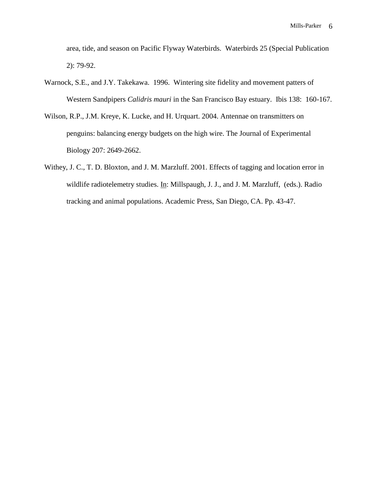area, tide, and season on Pacific Flyway Waterbirds. Waterbirds 25 (Special Publication 2): 79-92.

- Warnock, S.E., and J.Y. Takekawa. 1996. Wintering site fidelity and movement patters of Western Sandpipers *Calidris mauri* in the San Francisco Bay estuary. Ibis 138: 160-167.
- Wilson, R.P., J.M. Kreye, K. Lucke, and H. Urquart. 2004. Antennae on transmitters on penguins: balancing energy budgets on the high wire. The Journal of Experimental Biology 207: 2649-2662.
- Withey, J. C., T. D. Bloxton, and J. M. Marzluff. 2001. Effects of tagging and location error in wildlife radiotelemetry studies. In: Millspaugh, J. J., and J. M. Marzluff, (eds.). Radio tracking and animal populations. Academic Press, San Diego, CA. Pp. 43-47.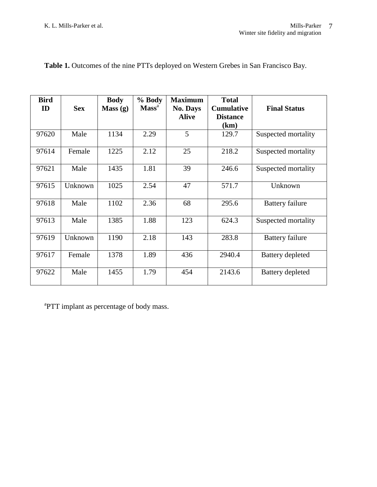| <b>Bird</b><br>ID | <b>Sex</b> | <b>Body</b><br>Mass(g) | % Body<br>Mass <sup>a</sup> | <b>Maximum</b><br><b>No. Days</b><br><b>Alive</b> | <b>Total</b><br><b>Cumulative</b><br><b>Distance</b><br>(km) | <b>Final Status</b>    |
|-------------------|------------|------------------------|-----------------------------|---------------------------------------------------|--------------------------------------------------------------|------------------------|
| 97620             | Male       | 1134                   | 2.29                        | 5                                                 | 129.7                                                        | Suspected mortality    |
| 97614             | Female     | 1225                   | 2.12                        | 25                                                | 218.2                                                        | Suspected mortality    |
| 97621             | Male       | 1435                   | 1.81                        | 39                                                | 246.6                                                        | Suspected mortality    |
| 97615             | Unknown    | 1025                   | 2.54                        | 47                                                | 571.7                                                        | Unknown                |
| 97618             | Male       | 1102                   | 2.36                        | 68                                                | 295.6                                                        | <b>Battery failure</b> |
| 97613             | Male       | 1385                   | 1.88                        | 123                                               | 624.3                                                        | Suspected mortality    |
| 97619             | Unknown    | 1190                   | 2.18                        | 143                                               | 283.8                                                        | <b>Battery failure</b> |
| 97617             | Female     | 1378                   | 1.89                        | 436                                               | 2940.4                                                       | Battery depleted       |
| 97622             | Male       | 1455                   | 1.79                        | 454                                               | 2143.6                                                       | Battery depleted       |

**Table 1.** Outcomes of the nine PTTs deployed on Western Grebes in San Francisco Bay.

<sup>a</sup>PTT implant as percentage of body mass.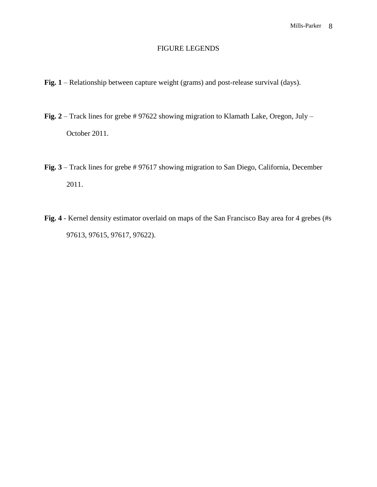# FIGURE LEGENDS

- **Fig. 1** Relationship between capture weight (grams) and post-release survival (days).
- **Fig. 2** Track lines for grebe # 97622 showing migration to Klamath Lake, Oregon, July October 2011.
- **Fig. 3** Track lines for grebe # 97617 showing migration to San Diego, California, December 2011.
- **Fig. 4** Kernel density estimator overlaid on maps of the San Francisco Bay area for 4 grebes (#s 97613, 97615, 97617, 97622).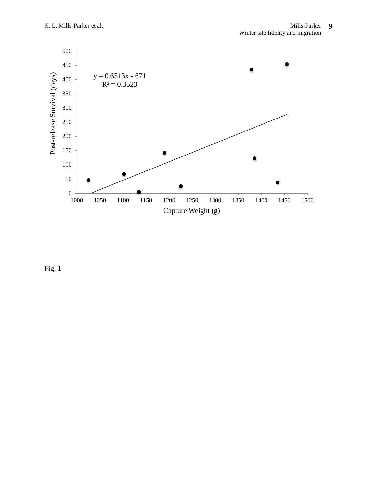

Fig. 1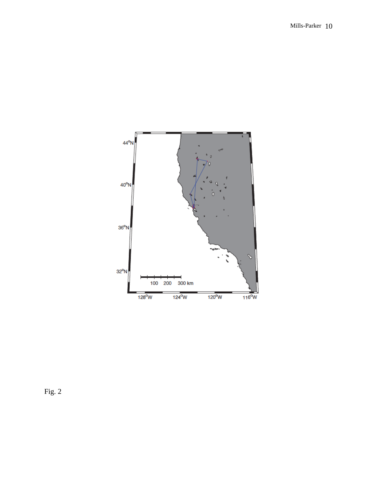

Fig. 2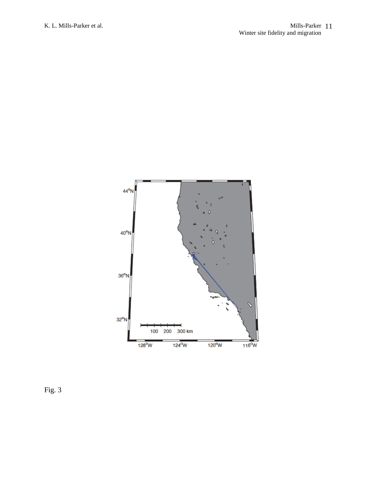

Fig. 3